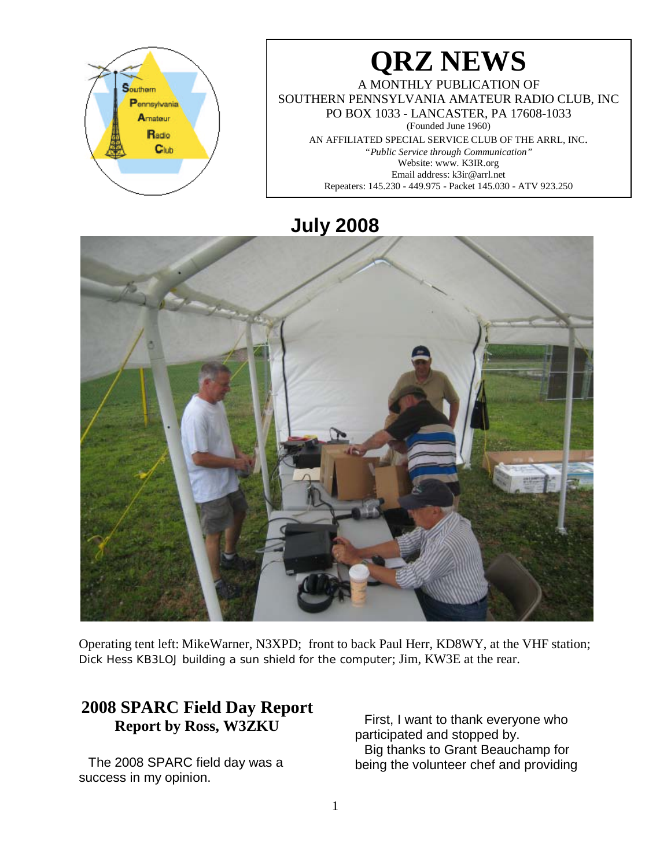

# **QRZ NEWS**

A MONTHLY PUBLICATION OF SOUTHERN PENNSYLVANIA AMATEUR RADIO CLUB, INC PO BOX 1033 - LANCASTER, PA 17608-1033 (Founded June 1960) AN AFFILIATED SPECIAL SERVICE CLUB OF THE ARRL, INC. *"Public Service through Communication"* Website: www. K3IR.org Email address: k3ir@arrl.net Repeaters: 145.230 - 449.975 - Packet 145.030 - ATV 923.250

# **July 2008**



Operating tent left: MikeWarner, N3XPD; front to back Paul Herr, KD8WY, at the VHF station; Dick Hess KB3LOJ building a sun shield for the computer; Jim, KW3E at the rear.

## **2008 SPARC Field Day Report Report by Ross, W3ZKU**

The 2008 SPARC field day was a success in my opinion.

First, I want to thank everyone who participated and stopped by. Big thanks to Grant Beauchamp for being the volunteer chef and providing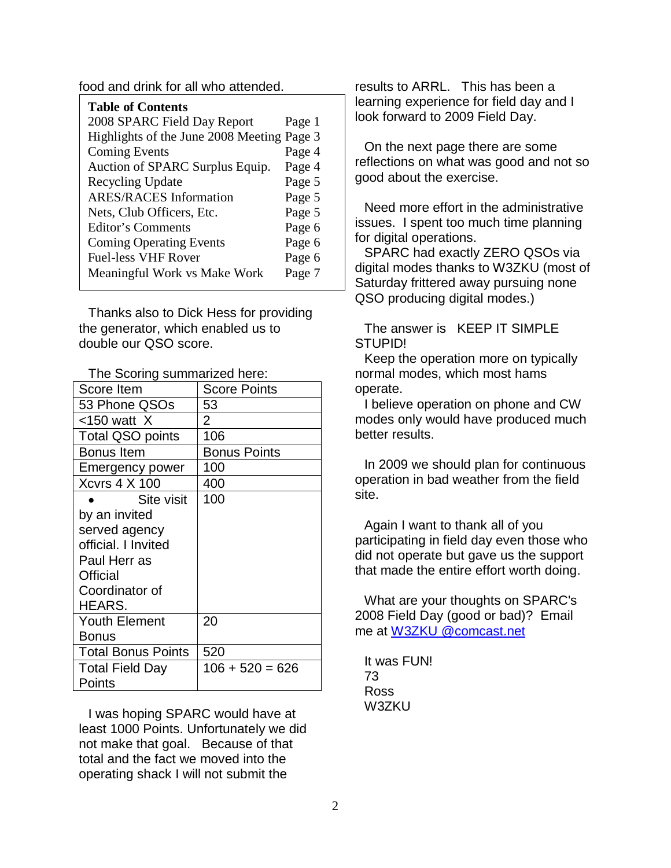food and drink for all who attended.

| <b>Table of Contents</b>                   |        |
|--------------------------------------------|--------|
| 2008 SPARC Field Day Report                | Page 1 |
| Highlights of the June 2008 Meeting Page 3 |        |
| <b>Coming Events</b>                       | Page 4 |
| Auction of SPARC Surplus Equip.            | Page 4 |
| Recycling Update                           | Page 5 |
| <b>ARES/RACES</b> Information              | Page 5 |
| Nets, Club Officers, Etc.                  | Page 5 |
| Editor's Comments                          | Page 6 |
| <b>Coming Operating Events</b>             | Page 6 |
| <b>Fuel-less VHF Rover</b>                 | Page 6 |
| Meaningful Work vs Make Work               | Page 7 |

Thanks also to Dick Hess for providing the generator, which enabled us to double our QSO score.

The Scoring summarized here:

| Score Item                | <b>Score Points</b> |
|---------------------------|---------------------|
| 53 Phone QSOs             | 53                  |
| $<$ 150 watt $X$          | 2                   |
| <b>Total QSO points</b>   | 106                 |
| <b>Bonus</b> Item         | <b>Bonus Points</b> |
| <b>Emergency power</b>    | 100                 |
| <b>Xcvrs 4 X 100</b>      | 400                 |
| Site visit                | 100                 |
| by an invited             |                     |
| served agency             |                     |
| official. I Invited       |                     |
| Paul Herr as              |                     |
| Official                  |                     |
| Coordinator of            |                     |
| HEARS.                    |                     |
| <b>Youth Element</b>      | 20                  |
| Bonus                     |                     |
| <b>Total Bonus Points</b> | 520                 |
| <b>Total Field Day</b>    | $106 + 520 = 626$   |
| Points                    |                     |

I was hoping SPARC would have at least 1000 Points. Unfortunately we did not make that goal. Because of that total and the fact we moved into the operating shack I will not submit the

results to ARRL. This has been a learning experience for field day and I look forward to 2009 Field Day.

On the next page there are some reflections on what was good and not so good about the exercise.

Need more effort in the administrative issues. I spent too much time planning for digital operations.

SPARC had exactly ZERO QSOs via digital modes thanks to W3ZKU (most of Saturday frittered away pursuing none QSO producing digital modes.)

The answer is KEEP IT SIMPLE STUPID!

Keep the operation more on typically normal modes, which most hams operate.

I believe operation on phone and CW modes only would have produced much better results.

In 2009 we should plan for continuous operation in bad weather from the field site.

Again I want to thank all of you participating in field day even those who did not operate but gave us the support that made the entire effort worth doing.

What are your thoughts on SPARC's 2008 Field Day (good or bad)? Email me at [W3ZKU @comcast.net](mailto:w3zku@comcast.net)

It was FUN! 73 Ross W3ZKU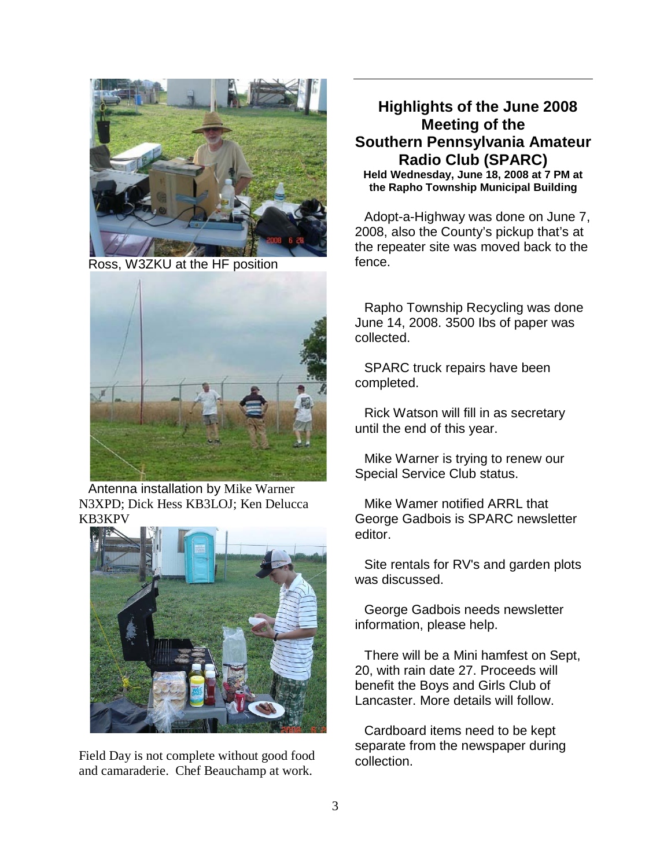

Ross, W3ZKU at the HF position



Antenna installation by Mike Warner N3XPD; Dick Hess KB3LOJ; Ken Delucca KB3KPV



Field Day is not complete without good food and camaraderie. Chef Beauchamp at work.

## **Highlights of the June 2008 Meeting of the Southern Pennsylvania Amateur Radio Club (SPARC)**

**Held Wednesday, June 18, 2008 at 7 PM at the Rapho Township Municipal Building**

Adopt-a-Highway was done on June 7, 2008, also the County's pickup that's at the repeater site was moved back to the fence.

Rapho Township Recycling was done June 14, 2008. 3500 Ibs of paper was collected.

SPARC truck repairs have been completed.

Rick Watson will fill in as secretary until the end of this year.

Mike Warner is trying to renew our Special Service Club status.

Mike Wamer notified ARRL that George Gadbois is SPARC newsletter editor.

Site rentals for RV's and garden plots was discussed.

George Gadbois needs newsletter information, please help.

There will be a Mini hamfest on Sept, 20, with rain date 27. Proceeds will benefit the Boys and Girls Club of Lancaster. More details will follow.

Cardboard items need to be kept separate from the newspaper during collection.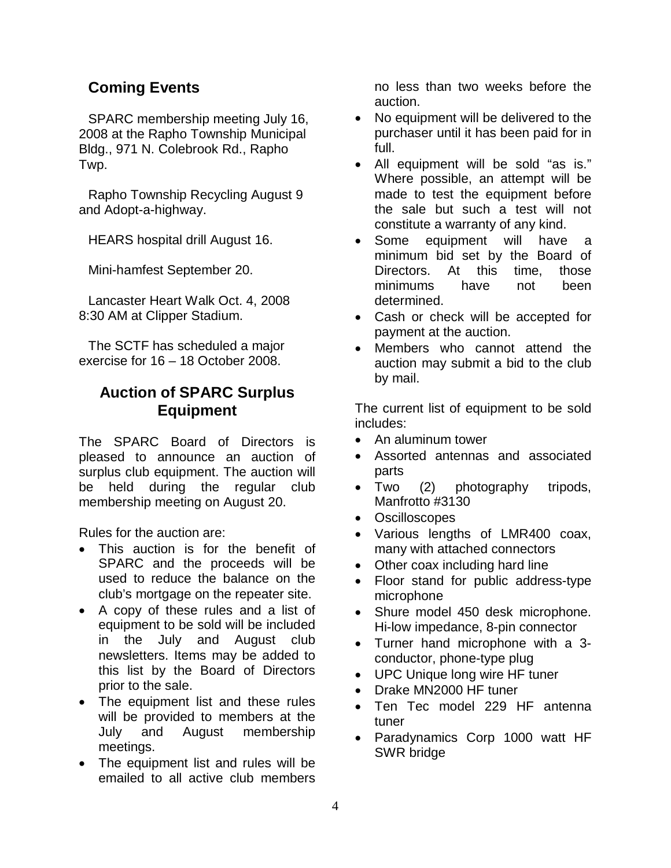## **Coming Events**

SPARC membership meeting July 16, 2008 at the Rapho Township Municipal Bldg., 971 N. Colebrook Rd., Rapho Twp.

Rapho Township Recycling August 9 and Adopt-a-highway.

HEARS hospital drill August 16.

Mini-hamfest September 20.

Lancaster Heart Walk Oct. 4, 2008 8:30 AM at Clipper Stadium.

The SCTF has scheduled a major exercise for 16 – 18 October 2008.

## **Auction of SPARC Surplus Equipment**

The SPARC Board of Directors is pleased to announce an auction of surplus club equipment. The auction will be held during the regular club membership meeting on August 20.

Rules for the auction are:

- This auction is for the benefit of SPARC and the proceeds will be used to reduce the balance on the club's mortgage on the repeater site.
- A copy of these rules and a list of equipment to be sold will be included in the July and August club newsletters. Items may be added to this list by the Board of Directors prior to the sale.
- The equipment list and these rules will be provided to members at the July and August membership meetings.
- The equipment list and rules will be emailed to all active club members

no less than two weeks before the auction.

- No equipment will be delivered to the purchaser until it has been paid for in full.
- All equipment will be sold "as is." Where possible, an attempt will be made to test the equipment before the sale but such a test will not constitute a warranty of any kind.
- Some equipment will have a minimum bid set by the Board of Directors. At this time, those minimums have not been determined.
- Cash or check will be accepted for payment at the auction.
- Members who cannot attend the auction may submit a bid to the club by mail.

The current list of equipment to be sold includes:

- An aluminum tower
- Assorted antennas and associated parts
- Two (2) photography tripods, Manfrotto #3130
- **Oscilloscopes**
- Various lengths of LMR400 coax, many with attached connectors
- Other coax including hard line
- Floor stand for public address-type microphone
- Shure model 450 desk microphone. Hi-low impedance, 8-pin connector
- Turner hand microphone with a 3 conductor, phone-type plug
- UPC Unique long wire HF tuner
- Drake MN2000 HF tuner
- Ten Tec model 229 HF antenna tuner
- Paradynamics Corp 1000 watt HF SWR bridge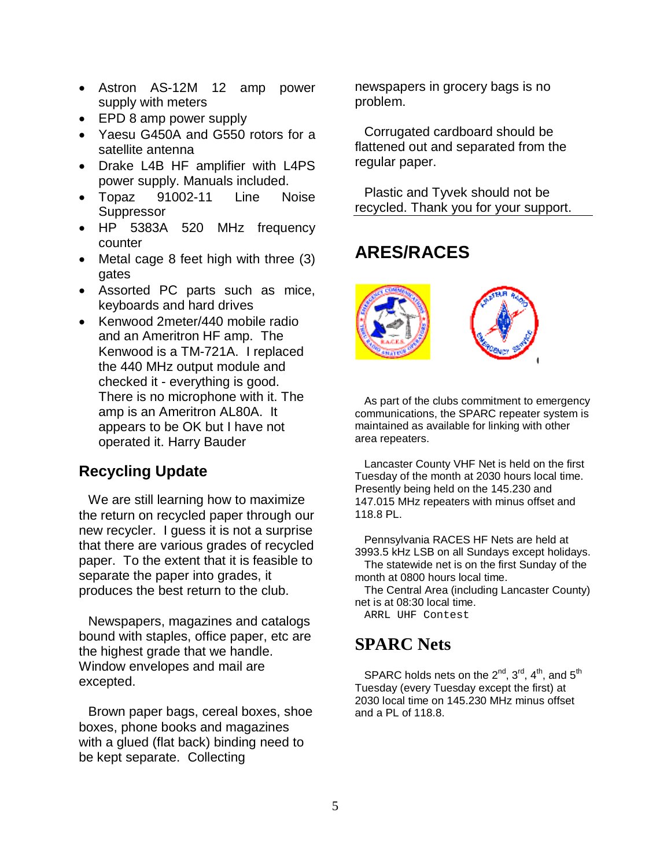- Astron AS-12M 12 amp power supply with meters
- EPD 8 amp power supply
- Yaesu G450A and G550 rotors for a satellite antenna
- Drake L4B HF amplifier with L4PS power supply. Manuals included.
- Topaz 91002-11 Line Noise **Suppressor**
- HP 5383A 520 MHz frequency counter
- Metal cage 8 feet high with three (3) gates
- Assorted PC parts such as mice, keyboards and hard drives
- Kenwood 2meter/440 mobile radio and an Ameritron HF amp. The Kenwood is a TM-721A. I replaced the 440 MHz output module and checked it - everything is good. There is no microphone with it. The amp is an Ameritron AL80A. It appears to be OK but I have not operated it. Harry Bauder

## **Recycling Update**

We are still learning how to maximize the return on recycled paper through our new recycler. I guess it is not a surprise that there are various grades of recycled paper. To the extent that it is feasible to separate the paper into grades, it produces the best return to the club.

Newspapers, magazines and catalogs bound with staples, office paper, etc are the highest grade that we handle. Window envelopes and mail are excepted.

Brown paper bags, cereal boxes, shoe boxes, phone books and magazines with a glued (flat back) binding need to be kept separate. Collecting

newspapers in grocery bags is no problem.

Corrugated cardboard should be flattened out and separated from the regular paper.

Plastic and Tyvek should not be recycled. Thank you for your support.

## **ARES/RACES**



As part of the clubs commitment to emergency communications, the SPARC repeater system is maintained as available for linking with other area repeaters.

Lancaster County VHF Net is held on the first Tuesday of the month at 2030 hours local time. Presently being held on the 145.230 and 147.015 MHz repeaters with minus offset and 118.8 PL.

Pennsylvania RACES HF Nets are held at 3993.5 kHz LSB on all Sundays except holidays. The statewide net is on the first Sunday of the

month at 0800 hours local time. The Central Area (including Lancaster County)

net is at 08:30 local time.

ARRL UHF Contest

## **SPARC Nets**

SPARC holds nets on the  $2^{nd}$ ,  $3^{rd}$ ,  $4^{th}$ , and  $5^{th}$ Tuesday (every Tuesday except the first) at 2030 local time on 145.230 MHz minus offset and a PL of 118.8.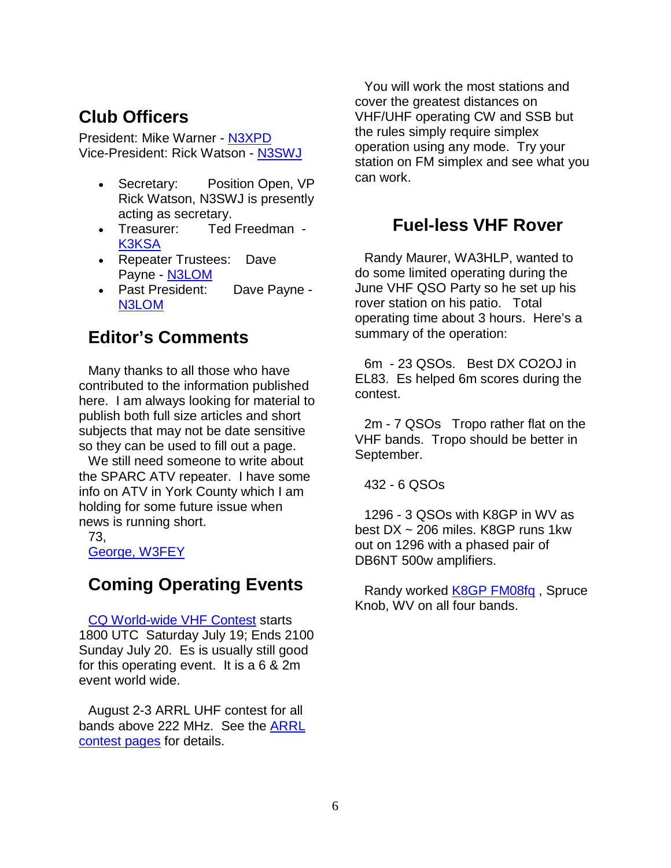## **Club Officers**

President: Mike Warner - [N3XPD](mailto:n3xpd@comcast.net) Vice-President: Rick Watson - [N3SWJ](mailto:rwatson@dejazzd.com)

- Secretary: Position Open, VP Rick Watson, N3SWJ is presently acting as secretary.
- Treasurer: Ted Freedman [K3KSA](mailto:k3ksa@juno.com)
- Repeater Trustees: Dave Payne - [N3LOM](mailto:n3lom@juno.com)
- Past President: Dave Payne [N3LOM](mailto:n3lom@juno.com)

## **Editor's Comments**

Many thanks to all those who have contributed to the information published here. I am always looking for material to publish both full size articles and short subjects that may not be date sensitive so they can be used to fill out a page.

We still need someone to write about the SPARC ATV repeater. I have some info on ATV in York County which I am holding for some future issue when news is running short.

73,

[George, W3FEY](mailto:w3fey@arrl.net)

## **Coming Operating Events**

[CQ World-wide VHF Contest](http://www.cq-amateur-radio.com/VHF%20Contest%20Rules%20200843008.pdf) starts 1800 UTC Saturday July 19; Ends 2100 Sunday July 20. Es is usually still good for this operating event. It is a 6 & 2m event world wide.

August 2-3 ARRL UHF contest for all bands above 222 MHz. See the [ARRL](http://www.arrl.org/contests/calendar.html)  [contest pages](http://www.arrl.org/contests/calendar.html) for details.

You will work the most stations and cover the greatest distances on VHF/UHF operating CW and SSB but the rules simply require simplex operation using any mode. Try your station on FM simplex and see what you can work.

## **Fuel-less VHF Rover**

Randy Maurer, WA3HLP, wanted to do some limited operating during the June VHF QSO Party so he set up his rover station on his patio. Total operating time about 3 hours. Here's a summary of the operation:

6m - 23 QSOs. Best DX CO2OJ in EL83. Es helped 6m scores during the contest.

2m - 7 QSOs Tropo rather flat on the VHF bands. Tropo should be better in September.

432 - 6 QSOs

1296 - 3 QSOs with K8GP in WV as best DX ~ 206 miles. K8GP runs 1kw out on 1296 with a phased pair of DB6NT 500w amplifiers.

Randy worked **K8GP FM08fq**, Spruce Knob, WV on all four bands.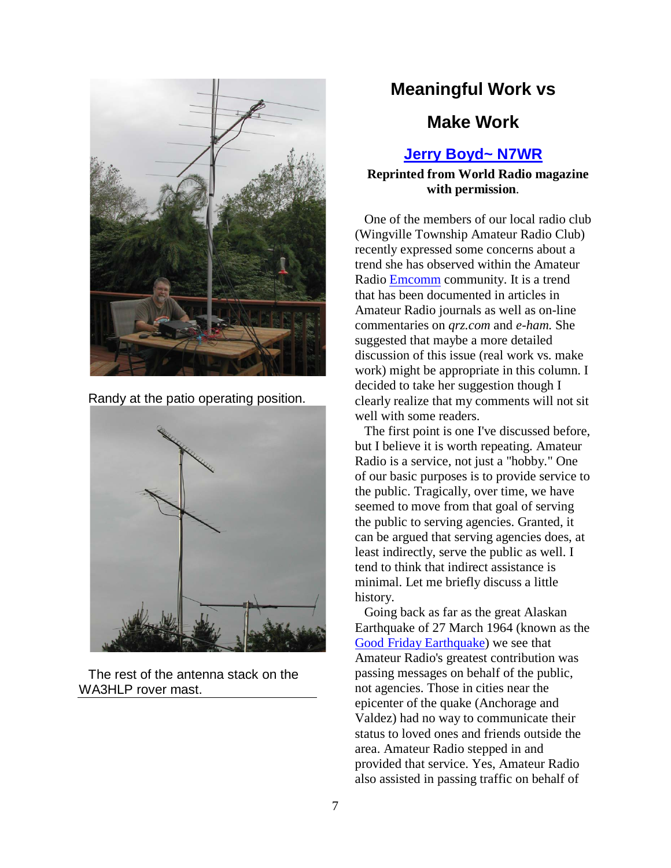

Randy at the patio operating position.



The rest of the antenna stack on the WA3HLP rover mast.

## **Meaningful Work vs**

## **Make Work**

#### **[Jerry Boyd~ N7WR](http://www.qrz.com/callsign/N7WR)**

#### **Reprinted from World Radio magazine with permission**.

One of the members of our local radio club (Wingville Township Amateur Radio Club) recently expressed some concerns about a trend she has observed within the Amateur Radio [Emcomm](http://www.emcomm.org/) community. It is a trend that has been documented in articles in Amateur Radio journals as well as on-line commentaries on *qrz.com* and *e-ham.* She suggested that maybe a more detailed discussion of this issue (real work vs. make work) might be appropriate in this column. I decided to take her suggestion though I clearly realize that my comments will not sit well with some readers.

The first point is one I've discussed before, but I believe it is worth repeating. Amateur Radio is a service, not just a "hobby." One of our basic purposes is to provide service to the public. Tragically, over time, we have seemed to move from that goal of serving the public to serving agencies. Granted, it can be argued that serving agencies does, at least indirectly, serve the public as well. I tend to think that indirect assistance is minimal. Let me briefly discuss a little history.

Going back as far as the great Alaskan Earthquake of 27 March 1964 (known as the [Good Friday Earthquake\)](http://www.anchorage.net/822.cfm) we see that Amateur Radio's greatest contribution was passing messages on behalf of the public, not agencies. Those in cities near the epicenter of the quake (Anchorage and Valdez) had no way to communicate their status to loved ones and friends outside the area. Amateur Radio stepped in and provided that service. Yes, Amateur Radio also assisted in passing traffic on behalf of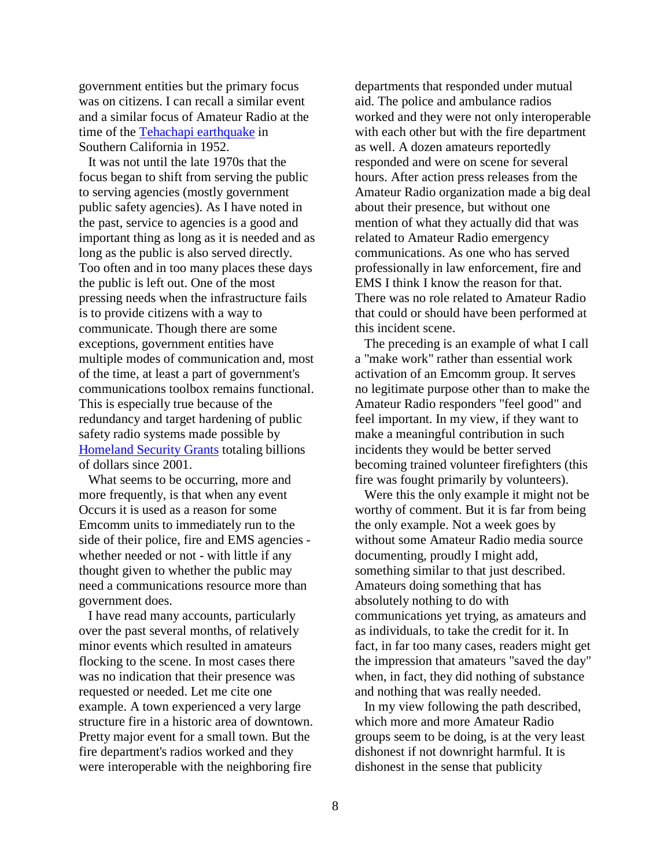government entities but the primary focus was on citizens. I can recall a similar event and a similar focus of Amateur Radio at the time of the [Tehachapi earthquake](http://www.scec.org/education/020721kern.html) in Southern California in 1952.

It was not until the late 1970s that the focus began to shift from serving the public to serving agencies (mostly government public safety agencies). As I have noted in the past, service to agencies is a good and important thing as long as it is needed and as long as the public is also served directly. Too often and in too many places these days the public is left out. One of the most pressing needs when the infrastructure fails is to provide citizens with a way to communicate. Though there are some exceptions, government entities have multiple modes of communication and, most of the time, at least a part of government's communications toolbox remains functional. This is especially true because of the redundancy and target hardening of public safety radio systems made possible by [Homeland Security Grants](http://www.dhs.gov/xopnbiz/grants/) totaling billions of dollars since 2001.

What seems to be occurring, more and more frequently, is that when any event Occurs it is used as a reason for some Emcomm units to immediately run to the side of their police, fire and EMS agencies whether needed or not - with little if any thought given to whether the public may need a communications resource more than government does.

I have read many accounts, particularly over the past several months, of relatively minor events which resulted in amateurs flocking to the scene. In most cases there was no indication that their presence was requested or needed. Let me cite one example. A town experienced a very large structure fire in a historic area of downtown. Pretty major event for a small town. But the fire department's radios worked and they were interoperable with the neighboring fire

departments that responded under mutual aid. The police and ambulance radios worked and they were not only interoperable with each other but with the fire department as well. A dozen amateurs reportedly responded and were on scene for several hours. After action press releases from the Amateur Radio organization made a big deal about their presence, but without one mention of what they actually did that was related to Amateur Radio emergency communications. As one who has served professionally in law enforcement, fire and EMS I think I know the reason for that. There was no role related to Amateur Radio that could or should have been performed at this incident scene.

The preceding is an example of what I call a "make work" rather than essential work activation of an Emcomm group. It serves no legitimate purpose other than to make the Amateur Radio responders "feel good" and feel important. In my view, if they want to make a meaningful contribution in such incidents they would be better served becoming trained volunteer firefighters (this fire was fought primarily by volunteers).

Were this the only example it might not be worthy of comment. But it is far from being the only example. Not a week goes by without some Amateur Radio media source documenting, proudly I might add, something similar to that just described. Amateurs doing something that has absolutely nothing to do with communications yet trying, as amateurs and as individuals, to take the credit for it. In fact, in far too many cases, readers might get the impression that amateurs "saved the day" when, in fact, they did nothing of substance and nothing that was really needed.

In my view following the path described, which more and more Amateur Radio groups seem to be doing, is at the very least dishonest if not downright harmful. It is dishonest in the sense that publicity